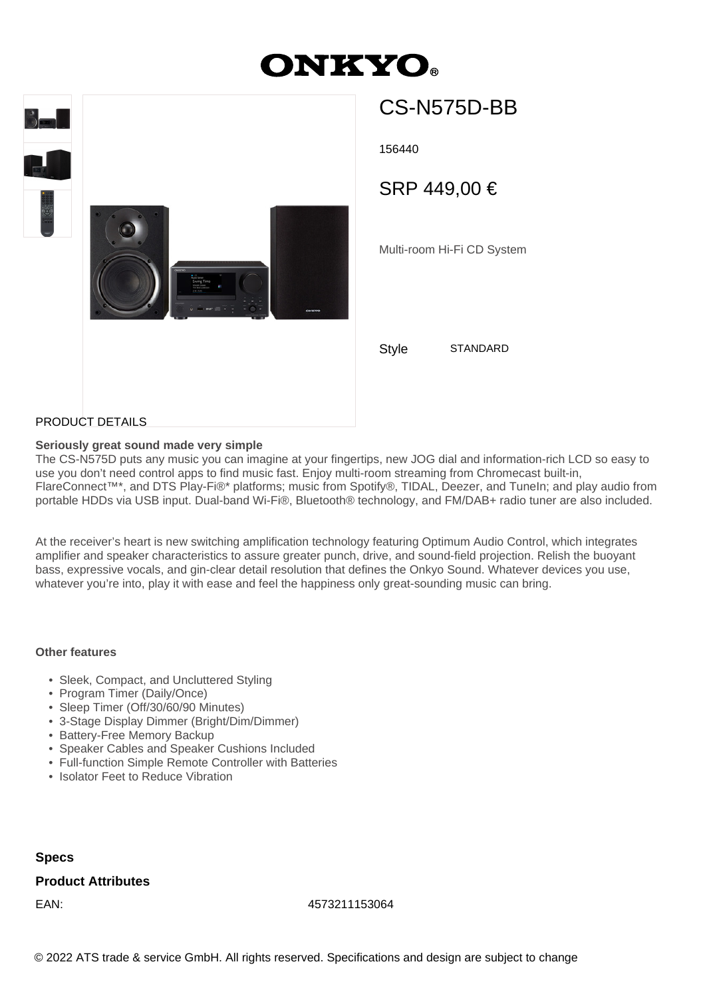# **ONKYO.**



## CS-N575D-BB

156440

SRP 449,00 €

Multi-room Hi-Fi CD System

Style STANDARD

PRODUCT DETAILS

#### **Seriously great sound made very simple**

The CS-N575D puts any music you can imagine at your fingertips, new JOG dial and information-rich LCD so easy to use you don't need control apps to find music fast. Enjoy multi-room streaming from Chromecast built-in, FlareConnect™\*, and DTS Play-Fi®\* platforms; music from Spotify®, TIDAL, Deezer, and TuneIn; and play audio from portable HDDs via USB input. Dual-band Wi-Fi®, Bluetooth® technology, and FM/DAB+ radio tuner are also included.

At the receiver's heart is new switching amplification technology featuring Optimum Audio Control, which integrates amplifier and speaker characteristics to assure greater punch, drive, and sound-field projection. Relish the buoyant bass, expressive vocals, and gin-clear detail resolution that defines the Onkyo Sound. Whatever devices you use, whatever you're into, play it with ease and feel the happiness only great-sounding music can bring.

#### **Other features**

- Sleek, Compact, and Uncluttered Styling
- Program Timer (Daily/Once)
- Sleep Timer (Off/30/60/90 Minutes)
- 3-Stage Display Dimmer (Bright/Dim/Dimmer)
- Battery-Free Memory Backup
- Speaker Cables and Speaker Cushions Included
- Full-function Simple Remote Controller with Batteries
- Isolator Feet to Reduce Vibration

#### **Specs**

### **Product Attributes**

EAN: 4573211153064